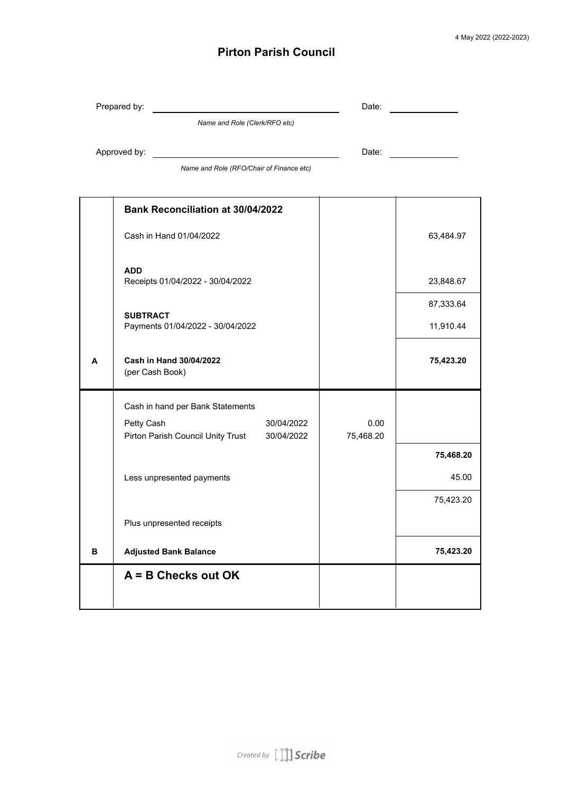## **Pirton Parish Council**

|   | Prepared by:                                                                | Date:             |           |
|---|-----------------------------------------------------------------------------|-------------------|-----------|
|   | Name and Role (Clerk/RFO etc)                                               |                   |           |
|   | Approved by:                                                                | Date:             |           |
|   | Name and Role (RFO/Chair of Finance etc)                                    |                   |           |
|   |                                                                             |                   |           |
|   | <b>Bank Reconciliation at 30/04/2022</b>                                    |                   |           |
|   | Cash in Hand 01/04/2022                                                     |                   | 63,484.97 |
|   | <b>ADD</b><br>Receipts 01/04/2022 - 30/04/2022                              |                   | 23,848.67 |
|   |                                                                             |                   | 87,333.64 |
|   | <b>SUBTRACT</b><br>Payments 01/04/2022 - 30/04/2022                         |                   | 11,910.44 |
| A | Cash in Hand 30/04/2022<br>(per Cash Book)                                  |                   | 75,423.20 |
|   | Cash in hand per Bank Statements                                            |                   |           |
|   | Petty Cash<br>30/04/2022<br>Pirton Parish Council Unity Trust<br>30/04/2022 | 0.00<br>75,468.20 |           |
|   |                                                                             |                   | 75,468.20 |
|   | Less unpresented payments                                                   |                   | 45.00     |
|   |                                                                             |                   | 75,423.20 |
|   | Plus unpresented receipts                                                   |                   |           |
| в | <b>Adjusted Bank Balance</b>                                                |                   | 75,423.20 |
|   | $A = B$ Checks out OK                                                       |                   |           |
|   |                                                                             |                   |           |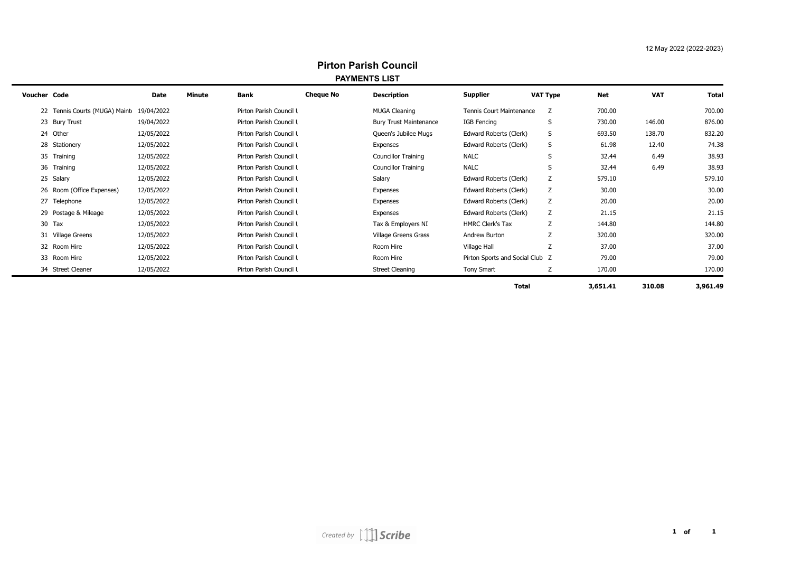| <b>Pirton Parish Council</b> |
|------------------------------|
| <b>PAYMENTS LIST</b>         |

| .            |                                          |            |        |                         |                  |                               |                                 |                 |            |            |              |
|--------------|------------------------------------------|------------|--------|-------------------------|------------------|-------------------------------|---------------------------------|-----------------|------------|------------|--------------|
| Voucher Code |                                          | Date       | Minute | Bank                    | <b>Cheque No</b> | <b>Description</b>            | <b>Supplier</b>                 | <b>VAT Type</b> | <b>Net</b> | <b>VAT</b> | <b>Total</b> |
|              | 22 Tennis Courts (MUGA) Maint 19/04/2022 |            |        | Pirton Parish Council L |                  | <b>MUGA Cleaning</b>          | Tennis Court Maintenance        | Z               | 700.00     |            | 700.00       |
|              | 23 Bury Trust                            | 19/04/2022 |        | Pirton Parish Council L |                  | <b>Bury Trust Maintenance</b> | <b>IGB Fencing</b>              | S               | 730.00     | 146.00     | 876.00       |
|              | 24 Other                                 | 12/05/2022 |        | Pirton Parish Council L |                  | Queen's Jubilee Mugs          | Edward Roberts (Clerk)          | S               | 693.50     | 138.70     | 832.20       |
|              | 28 Stationery                            | 12/05/2022 |        | Pirton Parish Council L |                  | Expenses                      | Edward Roberts (Clerk)          | S               | 61.98      | 12.40      | 74.38        |
|              | 35 Training                              | 12/05/2022 |        | Pirton Parish Council L |                  | <b>Councillor Training</b>    | <b>NALC</b>                     | S               | 32.44      | 6.49       | 38.93        |
|              | 36 Training                              | 12/05/2022 |        | Pirton Parish Council L |                  | <b>Councillor Training</b>    | <b>NALC</b>                     | S               | 32.44      | 6.49       | 38.93        |
|              | 25 Salary                                | 12/05/2022 |        | Pirton Parish Council L |                  | Salary                        | Edward Roberts (Clerk)          | Z               | 579.10     |            | 579.10       |
|              | 26 Room (Office Expenses)                | 12/05/2022 |        | Pirton Parish Council L |                  | Expenses                      | Edward Roberts (Clerk)          | Z               | 30.00      |            | 30.00        |
|              | 27 Telephone                             | 12/05/2022 |        | Pirton Parish Council L |                  | Expenses                      | Edward Roberts (Clerk)          | Z               | 20.00      |            | 20.00        |
|              | 29 Postage & Mileage                     | 12/05/2022 |        | Pirton Parish Council L |                  | Expenses                      | Edward Roberts (Clerk)          | Ζ               | 21.15      |            | 21.15        |
|              | 30 Tax                                   | 12/05/2022 |        | Pirton Parish Council L |                  | Tax & Employers NI            | <b>HMRC Clerk's Tax</b>         | Z               | 144.80     |            | 144.80       |
|              | 31 Village Greens                        | 12/05/2022 |        | Pirton Parish Council I |                  | Village Greens Grass          | Andrew Burton                   | Z               | 320.00     |            | 320.00       |
|              | 32 Room Hire                             | 12/05/2022 |        | Pirton Parish Council L |                  | Room Hire                     | Village Hall                    | Z               | 37.00      |            | 37.00        |
|              | 33 Room Hire                             | 12/05/2022 |        | Pirton Parish Council L |                  | Room Hire                     | Pirton Sports and Social Club Z |                 | 79.00      |            | 79.00        |
|              | 34 Street Cleaner                        | 12/05/2022 |        | Pirton Parish Council L |                  | <b>Street Cleaning</b>        | Tony Smart                      | Z               | 170.00     |            | 170.00       |
|              |                                          |            |        |                         |                  |                               |                                 |                 |            |            |              |

 $\overline{\phantom{0}}$ 

**Total 3,651.41 310.08 3,961.49**